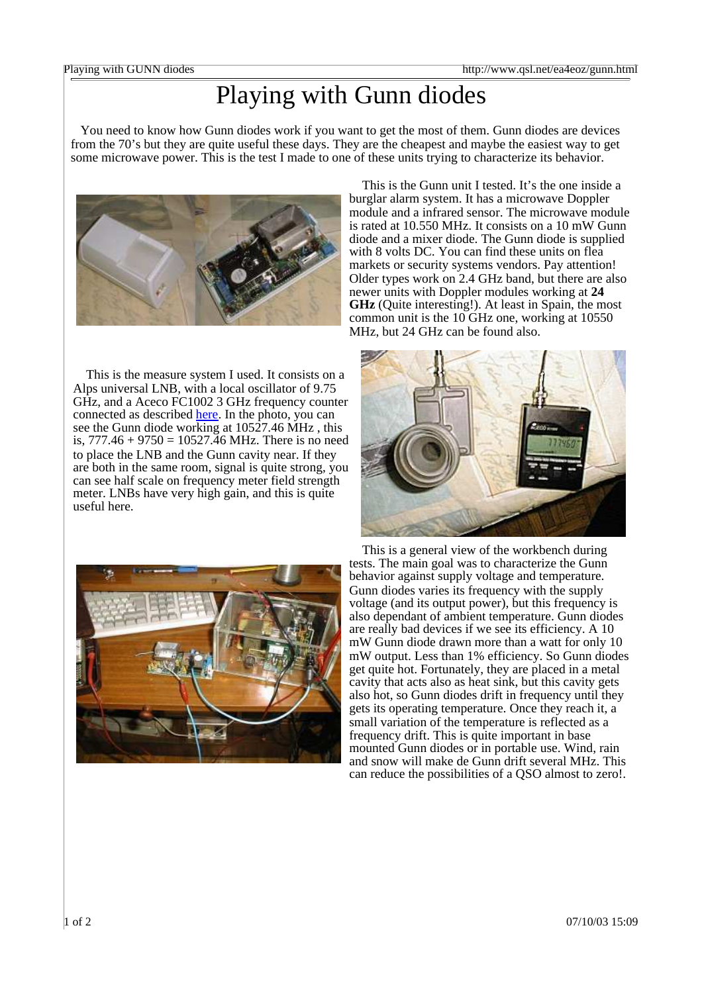## Playing with Gunn diodes

You need to know how Gunn diodes work if you want to get the most of them. Gunn diodes are devices from the 70's but they are quite useful these days. They are the cheapest and maybe the easiest way to get some microwave power. This is the test I made to one of these units trying to characterize its behavior.



This is the measure system I used. It consists on a Alps universal LNB, with a local oscillator of 9.75 GHz, and a Aceco FC1002 3 GHz frequency counter connected as described here. In the photo, you can see the Gunn diode working at 10527.46 MHz , this is,  $777.46 + 9750 = 10527.46$  MHz. There is no need to place the LNB and the Gunn cavity near. If they are both in the same room, signal is quite strong, you can see half scale on frequency meter field strength meter. LNBs have very high gain, and this is quite useful here.

This is the Gunn unit I tested. It's the one inside a burglar alarm system. It has a microwave Doppler module and a infrared sensor. The microwave module is rated at 10.550 MHz. It consists on a 10 mW Gunn diode and a mixer diode. The Gunn diode is supplied with 8 volts DC. You can find these units on flea markets or security systems vendors. Pay attention! Older types work on 2.4 GHz band, but there are also newer units with Doppler modules working at **24 GHz** (Quite interesting!). At least in Spain, the most common unit is the 10 GHz one, working at 10550 MHz, but 24 GHz can be found also.





This is a general view of the workbench during tests. The main goal was to characterize the Gunn behavior against supply voltage and temperature. Gunn diodes varies its frequency with the supply voltage (and its output power), but this frequency is also dependant of ambient temperature. Gunn diodes are really bad devices if we see its efficiency. A 10 mW Gunn diode drawn more than a watt for only 10 mW output. Less than 1% efficiency. So Gunn diodes get quite hot. Fortunately, they are placed in a metal cavity that acts also as heat sink, but this cavity gets also hot, so Gunn diodes drift in frequency until they gets its operating temperature. Once they reach it, a small variation of the temperature is reflected as a frequency drift. This is quite important in base mounted Gunn diodes or in portable use. Wind, rain and snow will make de Gunn drift several MHz. This can reduce the possibilities of a QSO almost to zero!.